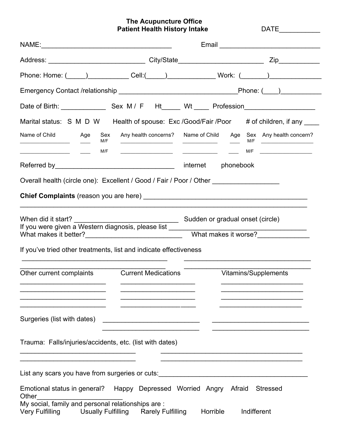**The Acupuncture Office Patient Health History Intake Name DATE** DATE

| Marital status: S M D W Health of spouse: Exc /Good/Fair /Poor # of children, if any ___                                                      |                                                                                                                                                                                 |
|-----------------------------------------------------------------------------------------------------------------------------------------------|---------------------------------------------------------------------------------------------------------------------------------------------------------------------------------|
| Name of Child<br>Age<br>Sex<br>M/F<br>M/F<br>and the control of the control of the control of<br>the control of the control of the control of | Any health concerns? Name of Child Age Sex Any health concern?<br>M/F<br>$\frac{1}{2}$ M/F $\frac{1}{2}$ M/F $\frac{1}{2}$<br><u> 1989 - Johann Barnett, fransk politiker (</u> |
|                                                                                                                                               | internet phonebook                                                                                                                                                              |
| Overall health (circle one): Excellent / Good / Fair / Poor / Other ____________                                                              |                                                                                                                                                                                 |
|                                                                                                                                               |                                                                                                                                                                                 |
| When did it start?<br>If you were given a Western diagnosis, please list _____________________________                                        | Sudden or gradual onset (circle)                                                                                                                                                |
|                                                                                                                                               | What makes it worse?                                                                                                                                                            |
| If you've tried other treatments, list and indicate effectiveness                                                                             |                                                                                                                                                                                 |
| Other current complaints<br><b>Current Medications</b>                                                                                        | Vitamins/Supplements                                                                                                                                                            |
| Surgeries (list with dates)                                                                                                                   |                                                                                                                                                                                 |
| Trauma: Falls/injuries/accidents, etc. (list with dates)                                                                                      |                                                                                                                                                                                 |
| List any scars you have from surgeries or cuts:                                                                                               |                                                                                                                                                                                 |
| Emotional status in general? Happy Depressed Worried Angry Afraid<br>Other                                                                    | <b>Stressed</b>                                                                                                                                                                 |
| My social, family and personal relationships are:<br>Very Fulfilling Usually Fulfilling Rarely Fulfilling                                     | Horrible<br>Indifferent                                                                                                                                                         |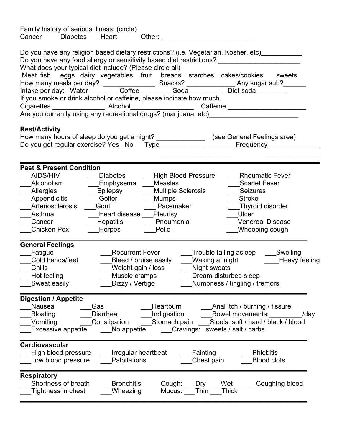| Family history of serious illness: (circle)<br>Cancer<br><b>Diabetes</b><br>Heart<br>Other:                                                                                                                                                                                                                                                                                                                                                                                                                                                                                  |  |  |
|------------------------------------------------------------------------------------------------------------------------------------------------------------------------------------------------------------------------------------------------------------------------------------------------------------------------------------------------------------------------------------------------------------------------------------------------------------------------------------------------------------------------------------------------------------------------------|--|--|
| Do you have any religion based dietary restrictions? (i.e. Vegetarian, Kosher, etc)__________<br>Do you have any food allergy or sensitivity based diet restrictions?<br>What does your typical diet include? (Please circle all)<br>Meat fish eggs dairy vegetables fruit breads starches cakes/cookies<br>sweets<br>If you smoke or drink alcohol or caffeine, please indicate how much.<br>Are you currently using any recreational drugs? (marijuana, etc) ________________                                                                                              |  |  |
| <b>Rest/Activity</b><br>How many hours of sleep do you get a night? __________________(see General Feelings area)                                                                                                                                                                                                                                                                                                                                                                                                                                                            |  |  |
| <b>Past &amp; Present Condition</b><br>AIDS/HIV<br><b>Diabetes</b><br><b>High Blood Pressure</b><br><b>Rheumatic Fever</b><br>Alcoholism<br>_Emphysema<br><b>Measles</b><br><b>Scarlet Fever</b><br>Allergies<br><b>Epilepsy</b><br><b>Multiple Sclerosis</b><br><b>Seizures</b><br>Appendicitis<br>Goiter<br><b>Mumps</b><br><b>Stroke</b><br>Pacemaker<br>Arteriosclerosis<br>Gout<br>Thyroid disorder<br>Heart disease ___ Pleurisy<br>Asthma<br>Ulcer<br>Hepatitis<br><b>Venereal Disease</b><br>Cancer<br>Pneumonia<br>Chicken Pox<br>Herpes<br>Polio<br>Whooping cough |  |  |
| <b>General Feelings</b><br>Fatigue<br><b>Recurrent Fever</b><br>Trouble falling asleep<br>Swelling<br>Waking at night<br>Cold hands/feet<br>Bleed / bruise easily<br>Heavy feeling<br>Chills<br>Weight gain / loss<br>Night sweats<br>Hot feeling<br>Muscle cramps<br>Dream-disturbed sleep<br>Dizzy / Vertigo<br>Numbness / tingling / tremors<br>Sweat easily                                                                                                                                                                                                              |  |  |
| <b>Digestion / Appetite</b><br>Nausea<br>Heartburn<br>Anal itch / burning / fissure<br>Gas<br><b>Bloating</b><br>Indigestion<br>Diarrhea<br>Bowel movements:<br>/day<br>Stools: soft / hard / black / blood<br>Vomiting<br>Stomach pain<br>Constipation<br><b>Excessive appetite</b><br>Cravings:<br>No appetite<br>sweets / salt / carbs                                                                                                                                                                                                                                    |  |  |
| <b>Cardiovascular</b><br>High blood pressure<br>Irregular heartbeat<br>Fainting<br><b>Phlebitis</b><br>Palpitations<br>Chest pain<br>Low blood pressure<br><b>Blood clots</b>                                                                                                                                                                                                                                                                                                                                                                                                |  |  |
| <b>Respiratory</b><br>Shortness of breath<br><b>Bronchitis</b><br>Wet<br>Coughing blood<br>Cough:<br>Dry<br><b>Thick</b><br>Tightness in chest<br>Wheezing<br>Thin<br>Mucus:                                                                                                                                                                                                                                                                                                                                                                                                 |  |  |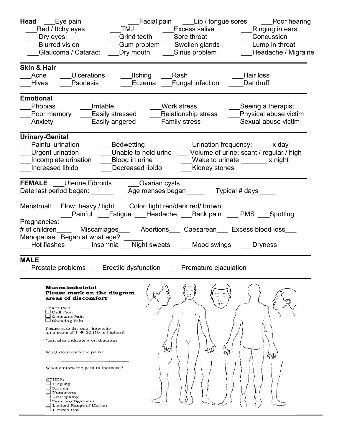| <b>Head</b> Eye pain<br>_Red / Itchy eyes                                                                                           | TMJ ______Excess saliva<br>__Ringing in ears                                                                                                                                          |
|-------------------------------------------------------------------------------------------------------------------------------------|---------------------------------------------------------------------------------------------------------------------------------------------------------------------------------------|
| Dry eyes                                                                                                                            | Grind teeth ____Sore throat<br>Concussion                                                                                                                                             |
| <b>Blurred vision</b>                                                                                                               | Gum problem ___Swollen glands<br>Lump in throat                                                                                                                                       |
| Glaucoma / Cataract                                                                                                                 | Sinus problem<br>Dry mouth<br>Headache / Migraine                                                                                                                                     |
| <b>Skin &amp; Hair</b>                                                                                                              |                                                                                                                                                                                       |
| Ulcerations<br>Acne                                                                                                                 | Hair loss<br>Itching Rash                                                                                                                                                             |
| Psoriasis<br><b>Hives</b>                                                                                                           | Fungal infection<br>Eczema<br>Dandruff                                                                                                                                                |
| <b>Emotional</b>                                                                                                                    |                                                                                                                                                                                       |
| Phobias<br>Irritable                                                                                                                | Work stress<br>Seeing a therapist                                                                                                                                                     |
| Poor memory ____Easily stressed ___                                                                                                 | Relationship stress<br>Physical abuse victim                                                                                                                                          |
| ___Easily angered<br><b>Anxiety</b>                                                                                                 | <b>Family stress</b><br>Sexual abuse victim                                                                                                                                           |
| <b>Urinary-Genital</b><br>Painful urination<br>Increased libido                                                                     | ___Bedwetting<br>___Urination frequency: _____x day<br>Urgent urination _______Unable to hold urine _____Volume of urine: scant / regular / high<br>Kidney stones<br>Decreased libido |
| <b>FEMALE</b> ___ Uterine Fibroids _____ Ovarian cysts<br>Date last period began: ________                                          | Age menses began___________ Typical # days _____                                                                                                                                      |
| Menstrual: Flow: heavy / light Color: light red/dark red/ brown                                                                     | __Painful ___Fatigue ___Headache ___Back pain ___ PMS ___Spotting                                                                                                                     |
| Pregnancies:<br>Menopause: Began at what age?                                                                                       | # of children_______ Miscarriages______ Abortions____ Caesarean____ Excess blood loss___                                                                                              |
|                                                                                                                                     | Hot flashes _______ Insomnia ____ Night sweats ______Mood swings _____Dryness                                                                                                         |
| <b>MALE</b>                                                                                                                         | Prostate problems ___Erectile dysfunction ___Premature ejaculation                                                                                                                    |
| <b>Musculoskeletal</b><br>Please mark on the diagram<br>areas of discomfort                                                         |                                                                                                                                                                                       |
| Sharp Pain<br>⊿ Dull Pain<br>∟ Constant Pain<br>$\Box$ Shooting Pain                                                                |                                                                                                                                                                                       |
| Please rate the pain intensity<br>on a scale of $1 \rightarrow 10$ (10 is highest)                                                  |                                                                                                                                                                                       |
| *can also indicate # on diagram                                                                                                     |                                                                                                                                                                                       |
| What decreases the pain?                                                                                                            | ί₫ΛN<br>МW                                                                                                                                                                            |
| What causes the pain to increase?                                                                                                   |                                                                                                                                                                                       |
| OTHER:<br>$\Box$ Tingling<br>∟ Itching<br>∟ Numbness<br>Tension/Tightness<br>$\perp$ Limited Range of Motion<br>$\perp$ Limited Use |                                                                                                                                                                                       |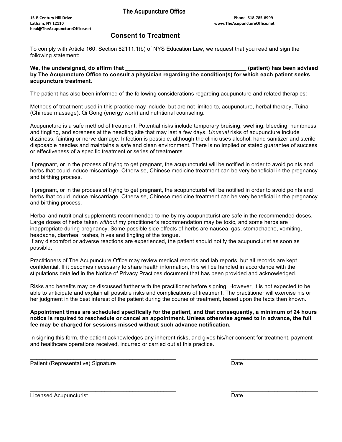### **Consent to Treatment**

To comply with Article 160, Section 82111.1(b) of NYS Education Law, we request that you read and sign the following statement:

### We, the undersigned, do affirm that **the endotageneral control of the endotage of the endot of the endot of the endot of the endot of the endot of the endotical distribution of the endotic state of the endotic state of the by The Acupuncture Office to consult a physician regarding the condition(s) for which each patient seeks acupuncture treatment.**

The patient has also been informed of the following considerations regarding acupuncture and related therapies:

Methods of treatment used in this practice may include, but are not limited to, acupuncture, herbal therapy, Tuina (Chinese massage), Qi Gong (energy work) and nutritional counseling.

Acupuncture is a safe method of treatment. Potential risks include temporary bruising, swelling, bleeding, numbness and tingling, and soreness at the needling site that may last a few days. *Unusual* risks of acupuncture include dizziness, fainting or nerve damage. Infection is possible, although the clinic uses alcohol, hand sanitizer and sterile disposable needles and maintains a safe and clean environment. There is no implied or stated guarantee of success or effectiveness of a specific treatment or series of treatments.

If pregnant, or in the process of trying to get pregnant, the acupuncturist will be notified in order to avoid points and herbs that could induce miscarriage. Otherwise, Chinese medicine treatment can be very beneficial in the pregnancy and birthing process.

If pregnant, or in the process of trying to get pregnant, the acupuncturist will be notified in order to avoid points and herbs that could induce miscarriage. Otherwise, Chinese medicine treatment can be very beneficial in the pregnancy and birthing process.

Herbal and nutritional supplements recommended to me by my acupuncturist are safe in the recommended doses. Large doses of herbs taken *without* my practitioner's recommendation may be toxic, and some herbs are inappropriate during pregnancy. Some possible side effects of herbs are nausea, gas, stomachache, vomiting, headache, diarrhea, rashes, hives and tingling of the tongue.

If any discomfort or adverse reactions are experienced, the patient should notify the acupuncturist as soon as possible,

Practitioners of The Acupuncture Office may review medical records and lab reports, but all records are kept confidential. If it becomes necessary to share health information, this will be handled in accordance with the stipulations detailed in the Notice of Privacy Practices document that has been provided and acknowledged.

Risks and benefits may be discussed further with the practitioner before signing. However, it is not expected to be able to anticipate and explain all possible risks and complications of treatment. The practitioner will exercise his or her judgment in the best interest of the patient during the course of treatment, based upon the facts then known.

### **Appointment times are scheduled specifically for the patient, and that consequently, a minimum of 24 hours notice is required to reschedule or cancel an appointment. Unless otherwise agreed to in advance, the full fee may be charged for sessions missed without such advance notification.**

In signing this form, the patient acknowledges any inherent risks, and gives his/her consent for treatment, payment and healthcare operations received, incurred or carried out at this practice.

Patient (Representative) Signature Date Date Date Date Date Date

 $\overline{\phantom{a}}$  , and the contribution of the contribution of the contribution of the contribution of the contribution of the contribution of the contribution of the contribution of the contribution of the contribution of the

Licensed Acupuncturist Date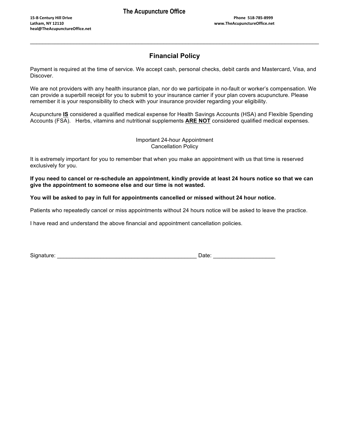# **Financial Policy**

 $\mathcal{L}_\mathcal{L} = \mathcal{L}_\mathcal{L} = \mathcal{L}_\mathcal{L} = \mathcal{L}_\mathcal{L} = \mathcal{L}_\mathcal{L} = \mathcal{L}_\mathcal{L} = \mathcal{L}_\mathcal{L} = \mathcal{L}_\mathcal{L} = \mathcal{L}_\mathcal{L} = \mathcal{L}_\mathcal{L} = \mathcal{L}_\mathcal{L} = \mathcal{L}_\mathcal{L} = \mathcal{L}_\mathcal{L} = \mathcal{L}_\mathcal{L} = \mathcal{L}_\mathcal{L} = \mathcal{L}_\mathcal{L} = \mathcal{L}_\mathcal{L}$ 

Payment is required at the time of service. We accept cash, personal checks, debit cards and Mastercard, Visa, and Discover.

We are not providers with any health insurance plan, nor do we participate in no-fault or worker's compensation. We can provide a superbill receipt for you to submit to your insurance carrier if your plan covers acupuncture. Please remember it is your responsibility to check with your insurance provider regarding your eligibility.

Acupuncture **IS** considered a qualified medical expense for Health Savings Accounts (HSA) and Flexible Spending Accounts (FSA). Herbs, vitamins and nutritional supplements **ARE NOT** considered qualified medical expenses.

### Important 24-hour Appointment Cancellation Policy

It is extremely important for you to remember that when you make an appointment with us that time is reserved exclusively for you.

**If you need to cancel or re-schedule an appointment, kindly provide at least 24 hours notice so that we can give the appointment to someone else and our time is not wasted.**

**You will be asked to pay in full for appointments cancelled or missed without 24 hour notice.**

Patients who repeatedly cancel or miss appointments without 24 hours notice will be asked to leave the practice.

I have read and understand the above financial and appointment cancellation policies.

Signature: \_\_\_\_\_\_\_\_\_\_\_\_\_\_\_\_\_\_\_\_\_\_\_\_\_\_\_\_\_\_\_\_\_\_\_\_\_\_\_\_\_\_\_\_\_ Date: \_\_\_\_\_\_\_\_\_\_\_\_\_\_\_\_\_\_\_\_